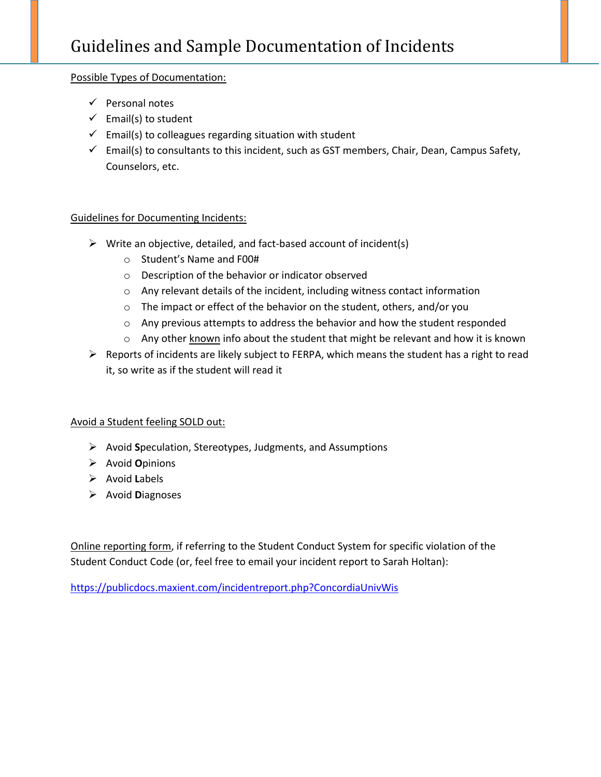## Possible Types of Documentation:

- $\checkmark$  Personal notes
- $\checkmark$  Email(s) to student
- $\checkmark$  Email(s) to colleagues regarding situation with student
- $\checkmark$  Email(s) to consultants to this incident, such as GST members, Chair, Dean, Campus Safety, Counselors, etc.

## Guidelines for Documenting Incidents:

- $\triangleright$  Write an objective, detailed, and fact-based account of incident(s)
	- o Student's Name and F00#
	- o Description of the behavior or indicator observed
	- o Any relevant details of the incident, including witness contact information
	- o The impact or effect of the behavior on the student, others, and/or you
	- o Any previous attempts to address the behavior and how the student responded
	- $\circ$  Any other known info about the student that might be relevant and how it is known
- $\triangleright$  Reports of incidents are likely subject to FERPA, which means the student has a right to read it, so write as if the student will read it

## Avoid a Student feeling SOLD out:

- Avoid **S**peculation, Stereotypes, Judgments, and Assumptions
- Avoid **O**pinions
- Avoid **L**abels
- Avoid **D**iagnoses

Online reporting form, if referring to the Student Conduct System for specific violation of the Student Conduct Code (or, feel free to email your incident report to Sarah Holtan):

<https://publicdocs.maxient.com/incidentreport.php?ConcordiaUnivWis>